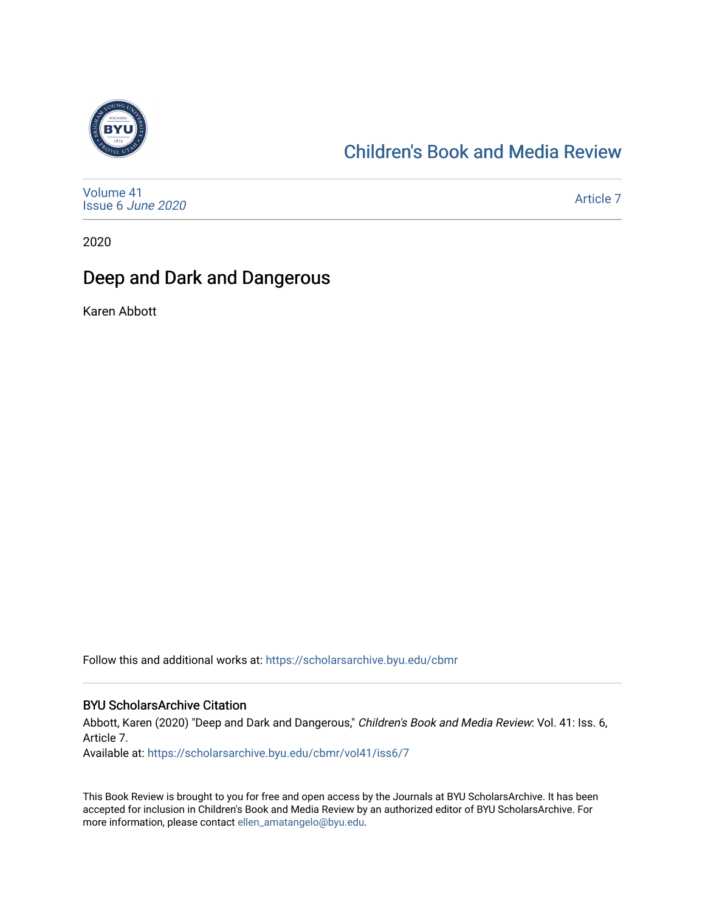

## [Children's Book and Media Review](https://scholarsarchive.byu.edu/cbmr)

[Volume 41](https://scholarsarchive.byu.edu/cbmr/vol41) [Issue 6](https://scholarsarchive.byu.edu/cbmr/vol41/iss6) June 2020

[Article 7](https://scholarsarchive.byu.edu/cbmr/vol41/iss6/7) 

2020

## Deep and Dark and Dangerous

Karen Abbott

Follow this and additional works at: [https://scholarsarchive.byu.edu/cbmr](https://scholarsarchive.byu.edu/cbmr?utm_source=scholarsarchive.byu.edu%2Fcbmr%2Fvol41%2Fiss6%2F7&utm_medium=PDF&utm_campaign=PDFCoverPages) 

#### BYU ScholarsArchive Citation

Abbott, Karen (2020) "Deep and Dark and Dangerous," Children's Book and Media Review: Vol. 41: Iss. 6, Article 7.

Available at: [https://scholarsarchive.byu.edu/cbmr/vol41/iss6/7](https://scholarsarchive.byu.edu/cbmr/vol41/iss6/7?utm_source=scholarsarchive.byu.edu%2Fcbmr%2Fvol41%2Fiss6%2F7&utm_medium=PDF&utm_campaign=PDFCoverPages) 

This Book Review is brought to you for free and open access by the Journals at BYU ScholarsArchive. It has been accepted for inclusion in Children's Book and Media Review by an authorized editor of BYU ScholarsArchive. For more information, please contact [ellen\\_amatangelo@byu.edu.](mailto:ellen_amatangelo@byu.edu)